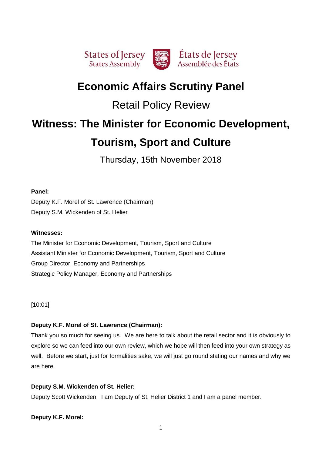

# **Economic Affairs Scrutiny Panel**

# Retail Policy Review

# **Witness: The Minister for Economic Development,**

# **Tourism, Sport and Culture**

Thursday, 15th November 2018

# **Panel:**

Deputy K.F. Morel of St. Lawrence (Chairman) Deputy S.M. Wickenden of St. Helier

# **Witnesses:**

The Minister for Economic Development, Tourism, Sport and Culture Assistant Minister for Economic Development, Tourism, Sport and Culture Group Director, Economy and Partnerships Strategic Policy Manager, Economy and Partnerships

[10:01]

# **Deputy K.F. Morel of St. Lawrence (Chairman):**

Thank you so much for seeing us. We are here to talk about the retail sector and it is obviously to explore so we can feed into our own review, which we hope will then feed into your own strategy as well. Before we start, just for formalities sake, we will just go round stating our names and why we are here.

# **Deputy S.M. Wickenden of St. Helier:**

Deputy Scott Wickenden. I am Deputy of St. Helier District 1 and I am a panel member.

# **Deputy K.F. Morel:**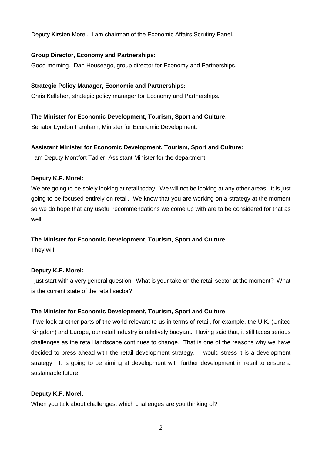Deputy Kirsten Morel. I am chairman of the Economic Affairs Scrutiny Panel.

## **Group Director, Economy and Partnerships:**

Good morning. Dan Houseago, group director for Economy and Partnerships.

# **Strategic Policy Manager, Economic and Partnerships:**

Chris Kelleher, strategic policy manager for Economy and Partnerships.

# **The Minister for Economic Development, Tourism, Sport and Culture:**

Senator Lyndon Farnham, Minister for Economic Development.

# **Assistant Minister for Economic Development, Tourism, Sport and Culture:**

I am Deputy Montfort Tadier, Assistant Minister for the department.

## **Deputy K.F. Morel:**

We are going to be solely looking at retail today. We will not be looking at any other areas. It is just going to be focused entirely on retail. We know that you are working on a strategy at the moment so we do hope that any useful recommendations we come up with are to be considered for that as well.

# **The Minister for Economic Development, Tourism, Sport and Culture:**

They will.

# **Deputy K.F. Morel:**

I just start with a very general question. What is your take on the retail sector at the moment? What is the current state of the retail sector?

# **The Minister for Economic Development, Tourism, Sport and Culture:**

If we look at other parts of the world relevant to us in terms of retail, for example, the U.K. (United Kingdom) and Europe, our retail industry is relatively buoyant. Having said that, it still faces serious challenges as the retail landscape continues to change. That is one of the reasons why we have decided to press ahead with the retail development strategy. I would stress it is a development strategy. It is going to be aiming at development with further development in retail to ensure a sustainable future.

## **Deputy K.F. Morel:**

When you talk about challenges, which challenges are you thinking of?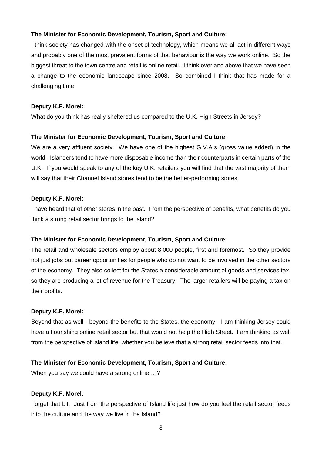## **The Minister for Economic Development, Tourism, Sport and Culture:**

I think society has changed with the onset of technology, which means we all act in different ways and probably one of the most prevalent forms of that behaviour is the way we work online. So the biggest threat to the town centre and retail is online retail. I think over and above that we have seen a change to the economic landscape since 2008. So combined I think that has made for a challenging time.

## **Deputy K.F. Morel:**

What do you think has really sheltered us compared to the U.K. High Streets in Jersey?

## **The Minister for Economic Development, Tourism, Sport and Culture:**

We are a very affluent society. We have one of the highest G.V.A.s (gross value added) in the world. Islanders tend to have more disposable income than their counterparts in certain parts of the U.K. If you would speak to any of the key U.K. retailers you will find that the vast majority of them will say that their Channel Island stores tend to be the better-performing stores.

## **Deputy K.F. Morel:**

I have heard that of other stores in the past. From the perspective of benefits, what benefits do you think a strong retail sector brings to the Island?

## **The Minister for Economic Development, Tourism, Sport and Culture:**

The retail and wholesale sectors employ about 8,000 people, first and foremost. So they provide not just jobs but career opportunities for people who do not want to be involved in the other sectors of the economy. They also collect for the States a considerable amount of goods and services tax, so they are producing a lot of revenue for the Treasury. The larger retailers will be paying a tax on their profits.

## **Deputy K.F. Morel:**

Beyond that as well - beyond the benefits to the States, the economy - I am thinking Jersey could have a flourishing online retail sector but that would not help the High Street. I am thinking as well from the perspective of Island life, whether you believe that a strong retail sector feeds into that.

## **The Minister for Economic Development, Tourism, Sport and Culture:**

When you say we could have a strong online …?

## **Deputy K.F. Morel:**

Forget that bit. Just from the perspective of Island life just how do you feel the retail sector feeds into the culture and the way we live in the Island?

3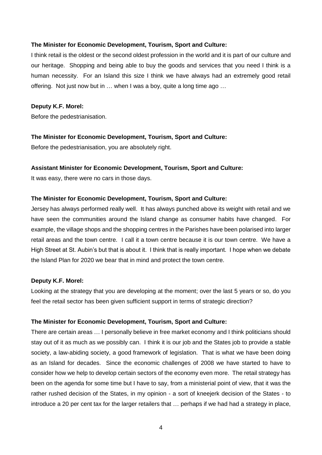#### **The Minister for Economic Development, Tourism, Sport and Culture:**

I think retail is the oldest or the second oldest profession in the world and it is part of our culture and our heritage. Shopping and being able to buy the goods and services that you need I think is a human necessity. For an Island this size I think we have always had an extremely good retail offering. Not just now but in … when I was a boy, quite a long time ago …

#### **Deputy K.F. Morel:**

Before the pedestrianisation.

#### **The Minister for Economic Development, Tourism, Sport and Culture:**

Before the pedestrianisation, you are absolutely right.

#### **Assistant Minister for Economic Development, Tourism, Sport and Culture:**

It was easy, there were no cars in those days.

#### **The Minister for Economic Development, Tourism, Sport and Culture:**

Jersey has always performed really well. It has always punched above its weight with retail and we have seen the communities around the Island change as consumer habits have changed. For example, the village shops and the shopping centres in the Parishes have been polarised into larger retail areas and the town centre. I call it a town centre because it is our town centre. We have a High Street at St. Aubin's but that is about it. I think that is really important. I hope when we debate the Island Plan for 2020 we bear that in mind and protect the town centre.

#### **Deputy K.F. Morel:**

Looking at the strategy that you are developing at the moment; over the last 5 years or so, do you feel the retail sector has been given sufficient support in terms of strategic direction?

#### **The Minister for Economic Development, Tourism, Sport and Culture:**

There are certain areas … I personally believe in free market economy and I think politicians should stay out of it as much as we possibly can. I think it is our job and the States job to provide a stable society, a law-abiding society, a good framework of legislation. That is what we have been doing as an Island for decades. Since the economic challenges of 2008 we have started to have to consider how we help to develop certain sectors of the economy even more. The retail strategy has been on the agenda for some time but I have to say, from a ministerial point of view, that it was the rather rushed decision of the States, in my opinion - a sort of kneejerk decision of the States - to introduce a 20 per cent tax for the larger retailers that … perhaps if we had had a strategy in place,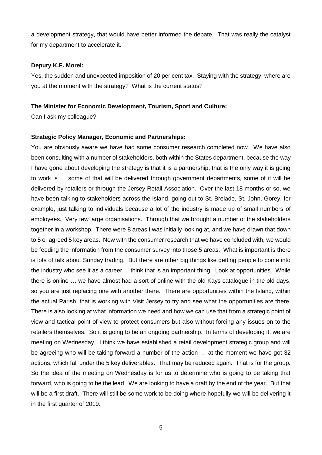a development strategy, that would have better informed the debate. That was really the catalyst for my department to accelerate it.

#### **Deputy K.F. Morel:**

Yes, the sudden and unexpected imposition of 20 per cent tax. Staying with the strategy, where are you at the moment with the strategy? What is the current status?

#### **The Minister for Economic Development, Tourism, Sport and Culture:**

Can I ask my colleague?

#### **Strategic Policy Manager, Economic and Partnerships:**

You are obviously aware we have had some consumer research completed now. We have also been consulting with a number of stakeholders, both within the States department, because the way I have gone about developing the strategy is that it is a partnership, that is the only way it is going to work is … some of that will be delivered through government departments, some of it will be delivered by retailers or through the Jersey Retail Association. Over the last 18 months or so, we have been talking to stakeholders across the Island, going out to St. Brelade, St. John, Gorey, for example, just talking to individuals because a lot of the industry is made up of small numbers of employees. Very few large organisations. Through that we brought a number of the stakeholders together in a workshop. There were 8 areas I was initially looking at, and we have drawn that down to 5 or agreed 5 key areas. Now with the consumer research that we have concluded with, we would be feeding the information from the consumer survey into those 5 areas. What is important is there is lots of talk about Sunday trading. But there are other big things like getting people to come into the industry who see it as a career. I think that is an important thing. Look at opportunities. While there is online … we have almost had a sort of online with the old Kays catalogue in the old days, so you are just replacing one with another there. There are opportunities within the Island, within the actual Parish, that is working with Visit Jersey to try and see what the opportunities are there. There is also looking at what information we need and how we can use that from a strategic point of view and tactical point of view to protect consumers but also without forcing any issues on to the retailers themselves. So it is going to be an ongoing partnership. In terms of developing it, we are meeting on Wednesday. I think we have established a retail development strategic group and will be agreeing who will be taking forward a number of the action … at the moment we have got 32 actions, which fall under the 5 key deliverables. That may be reduced again. That is for the group. So the idea of the meeting on Wednesday is for us to determine who is going to be taking that forward, who is going to be the lead. We are looking to have a draft by the end of the year. But that will be a first draft. There will still be some work to be doing where hopefully we will be delivering it in the first quarter of 2019.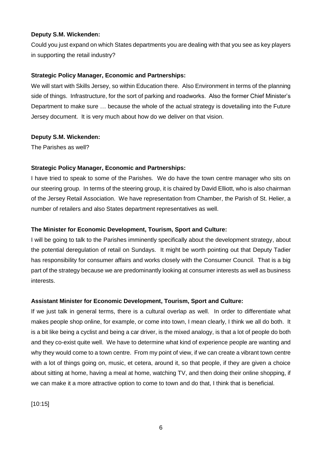## **Deputy S.M. Wickenden:**

Could you just expand on which States departments you are dealing with that you see as key players in supporting the retail industry?

## **Strategic Policy Manager, Economic and Partnerships:**

We will start with Skills Jersey, so within Education there. Also Environment in terms of the planning side of things. Infrastructure, for the sort of parking and roadworks. Also the former Chief Minister's Department to make sure … because the whole of the actual strategy is dovetailing into the Future Jersey document. It is very much about how do we deliver on that vision.

## **Deputy S.M. Wickenden:**

The Parishes as well?

## **Strategic Policy Manager, Economic and Partnerships:**

I have tried to speak to some of the Parishes. We do have the town centre manager who sits on our steering group. In terms of the steering group, it is chaired by David Elliott, who is also chairman of the Jersey Retail Association. We have representation from Chamber, the Parish of St. Helier, a number of retailers and also States department representatives as well.

## **The Minister for Economic Development, Tourism, Sport and Culture:**

I will be going to talk to the Parishes imminently specifically about the development strategy, about the potential deregulation of retail on Sundays. It might be worth pointing out that Deputy Tadier has responsibility for consumer affairs and works closely with the Consumer Council. That is a big part of the strategy because we are predominantly looking at consumer interests as well as business interests.

## **Assistant Minister for Economic Development, Tourism, Sport and Culture:**

If we just talk in general terms, there is a cultural overlap as well. In order to differentiate what makes people shop online, for example, or come into town, I mean clearly, I think we all do both. It is a bit like being a cyclist and being a car driver, is the mixed analogy, is that a lot of people do both and they co-exist quite well. We have to determine what kind of experience people are wanting and why they would come to a town centre. From my point of view, if we can create a vibrant town centre with a lot of things going on, music, et cetera, around it, so that people, if they are given a choice about sitting at home, having a meal at home, watching TV, and then doing their online shopping, if we can make it a more attractive option to come to town and do that, I think that is beneficial.

[10:15]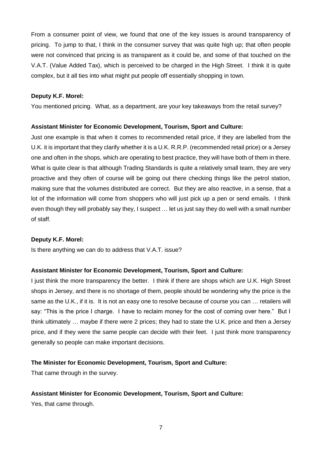From a consumer point of view, we found that one of the key issues is around transparency of pricing. To jump to that, I think in the consumer survey that was quite high up; that often people were not convinced that pricing is as transparent as it could be, and some of that touched on the V.A.T. (Value Added Tax), which is perceived to be charged in the High Street. I think it is quite complex, but it all ties into what might put people off essentially shopping in town.

#### **Deputy K.F. Morel:**

You mentioned pricing. What, as a department, are your key takeaways from the retail survey?

### **Assistant Minister for Economic Development, Tourism, Sport and Culture:**

Just one example is that when it comes to recommended retail price, if they are labelled from the U.K. it is important that they clarify whether it is a U.K. R.R.P. (recommended retail price) or a Jersey one and often in the shops, which are operating to best practice, they will have both of them in there. What is quite clear is that although Trading Standards is quite a relatively small team, they are very proactive and they often of course will be going out there checking things like the petrol station, making sure that the volumes distributed are correct. But they are also reactive, in a sense, that a lot of the information will come from shoppers who will just pick up a pen or send emails. I think even though they will probably say they, I suspect … let us just say they do well with a small number of staff.

#### **Deputy K.F. Morel:**

Is there anything we can do to address that V.A.T. issue?

#### **Assistant Minister for Economic Development, Tourism, Sport and Culture:**

I just think the more transparency the better. I think if there are shops which are U.K. High Street shops in Jersey, and there is no shortage of them, people should be wondering why the price is the same as the U.K., if it is. It is not an easy one to resolve because of course you can … retailers will say: "This is the price I charge. I have to reclaim money for the cost of coming over here." But I think ultimately … maybe if there were 2 prices; they had to state the U.K. price and then a Jersey price, and if they were the same people can decide with their feet. I just think more transparency generally so people can make important decisions.

#### **The Minister for Economic Development, Tourism, Sport and Culture:**

That came through in the survey.

## **Assistant Minister for Economic Development, Tourism, Sport and Culture:**

Yes, that came through.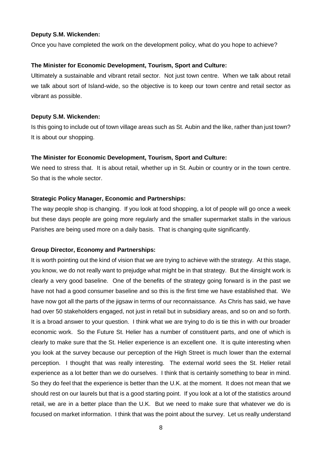#### **Deputy S.M. Wickenden:**

Once you have completed the work on the development policy, what do you hope to achieve?

## **The Minister for Economic Development, Tourism, Sport and Culture:**

Ultimately a sustainable and vibrant retail sector. Not just town centre. When we talk about retail we talk about sort of Island-wide, so the objective is to keep our town centre and retail sector as vibrant as possible.

## **Deputy S.M. Wickenden:**

Is this going to include out of town village areas such as St. Aubin and the like, rather than just town? It is about our shopping.

## **The Minister for Economic Development, Tourism, Sport and Culture:**

We need to stress that. It is about retail, whether up in St. Aubin or country or in the town centre. So that is the whole sector.

## **Strategic Policy Manager, Economic and Partnerships:**

The way people shop is changing. If you look at food shopping, a lot of people will go once a week but these days people are going more regularly and the smaller supermarket stalls in the various Parishes are being used more on a daily basis. That is changing quite significantly.

## **Group Director, Economy and Partnerships:**

It is worth pointing out the kind of vision that we are trying to achieve with the strategy. At this stage, you know, we do not really want to prejudge what might be in that strategy. But the 4insight work is clearly a very good baseline. One of the benefits of the strategy going forward is in the past we have not had a good consumer baseline and so this is the first time we have established that. We have now got all the parts of the jigsaw in terms of our reconnaissance. As Chris has said, we have had over 50 stakeholders engaged, not just in retail but in subsidiary areas, and so on and so forth. It is a broad answer to your question. I think what we are trying to do is tie this in with our broader economic work. So the Future St. Helier has a number of constituent parts, and one of which is clearly to make sure that the St. Helier experience is an excellent one. It is quite interesting when you look at the survey because our perception of the High Street is much lower than the external perception. I thought that was really interesting. The external world sees the St. Helier retail experience as a lot better than we do ourselves. I think that is certainly something to bear in mind. So they do feel that the experience is better than the U.K. at the moment. It does not mean that we should rest on our laurels but that is a good starting point. If you look at a lot of the statistics around retail, we are in a better place than the U.K. But we need to make sure that whatever we do is focused on market information. I think that was the point about the survey. Let us really understand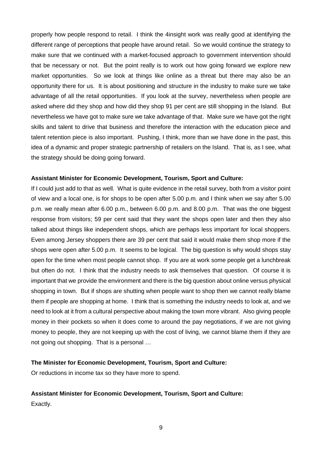properly how people respond to retail. I think the 4insight work was really good at identifying the different range of perceptions that people have around retail. So we would continue the strategy to make sure that we continued with a market-focused approach to government intervention should that be necessary or not. But the point really is to work out how going forward we explore new market opportunities. So we look at things like online as a threat but there may also be an opportunity there for us. It is about positioning and structure in the industry to make sure we take advantage of all the retail opportunities. If you look at the survey, nevertheless when people are asked where did they shop and how did they shop 91 per cent are still shopping in the Island. But nevertheless we have got to make sure we take advantage of that. Make sure we have got the right skills and talent to drive that business and therefore the interaction with the education piece and talent retention piece is also important. Pushing, I think, more than we have done in the past, this idea of a dynamic and proper strategic partnership of retailers on the Island. That is, as I see, what the strategy should be doing going forward.

#### **Assistant Minister for Economic Development, Tourism, Sport and Culture:**

If I could just add to that as well. What is quite evidence in the retail survey, both from a visitor point of view and a local one, is for shops to be open after 5.00 p.m. and I think when we say after 5.00 p.m. we really mean after 6.00 p.m., between 6.00 p.m. and 8.00 p.m. That was the one biggest response from visitors; 59 per cent said that they want the shops open later and then they also talked about things like independent shops, which are perhaps less important for local shoppers. Even among Jersey shoppers there are 39 per cent that said it would make them shop more if the shops were open after 5.00 p.m. It seems to be logical. The big question is why would shops stay open for the time when most people cannot shop. If you are at work some people get a lunchbreak but often do not. I think that the industry needs to ask themselves that question. Of course it is important that we provide the environment and there is the big question about online versus physical shopping in town. But if shops are shutting when people want to shop then we cannot really blame them if people are shopping at home. I think that is something the industry needs to look at, and we need to look at it from a cultural perspective about making the town more vibrant. Also giving people money in their pockets so when it does come to around the pay negotiations, if we are not giving money to people, they are not keeping up with the cost of living, we cannot blame them if they are not going out shopping. That is a personal …

#### **The Minister for Economic Development, Tourism, Sport and Culture:**

Or reductions in income tax so they have more to spend.

#### **Assistant Minister for Economic Development, Tourism, Sport and Culture:**

Exactly.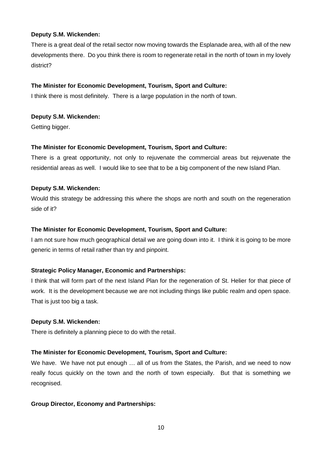## **Deputy S.M. Wickenden:**

There is a great deal of the retail sector now moving towards the Esplanade area, with all of the new developments there. Do you think there is room to regenerate retail in the north of town in my lovely district?

## **The Minister for Economic Development, Tourism, Sport and Culture:**

I think there is most definitely. There is a large population in the north of town.

# **Deputy S.M. Wickenden:**

Getting bigger.

## **The Minister for Economic Development, Tourism, Sport and Culture:**

There is a great opportunity, not only to rejuvenate the commercial areas but rejuvenate the residential areas as well. I would like to see that to be a big component of the new Island Plan.

## **Deputy S.M. Wickenden:**

Would this strategy be addressing this where the shops are north and south on the regeneration side of it?

# **The Minister for Economic Development, Tourism, Sport and Culture:**

I am not sure how much geographical detail we are going down into it. I think it is going to be more generic in terms of retail rather than try and pinpoint.

# **Strategic Policy Manager, Economic and Partnerships:**

I think that will form part of the next Island Plan for the regeneration of St. Helier for that piece of work. It is the development because we are not including things like public realm and open space. That is just too big a task.

## **Deputy S.M. Wickenden:**

There is definitely a planning piece to do with the retail.

# **The Minister for Economic Development, Tourism, Sport and Culture:**

We have. We have not put enough ... all of us from the States, the Parish, and we need to now really focus quickly on the town and the north of town especially. But that is something we recognised.

## **Group Director, Economy and Partnerships:**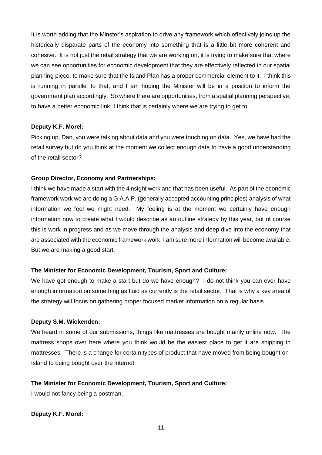It is worth adding that the Minster's aspiration to drive any framework which effectively joins up the historically disparate parts of the economy into something that is a little bit more coherent and cohesive. It is not just the retail strategy that we are working on, it is trying to make sure that where we can see opportunities for economic development that they are effectively reflected in our spatial planning piece, to make sure that the Island Plan has a proper commercial element to it. I think this is running in parallel to that, and I am hoping the Minister will be in a position to inform the government plan accordingly. So where there are opportunities, from a spatial planning perspective, to have a better economic link; I think that is certainly where we are trying to get to.

### **Deputy K.F. Morel:**

Picking up, Dan, you were talking about data and you were touching on data. Yes, we have had the retail survey but do you think at the moment we collect enough data to have a good understanding of the retail sector?

### **Group Director, Economy and Partnerships:**

I think we have made a start with the 4insight work and that has been useful. As part of the economic framework work we are doing a G.A.A.P. (generally accepted accounting principles) analysis of what information we feel we might need. My feeling is at the moment we certainly have enough information now to create what I would describe as an outline strategy by this year, but of course this is work in progress and as we move through the analysis and deep dive into the economy that are associated with the economic framework work, I am sure more information will become available. But we are making a good start.

## **The Minister for Economic Development, Tourism, Sport and Culture:**

We have got enough to make a start but do we have enough? I do not think you can ever have enough information on something as fluid as currently is the retail sector. That is why a key area of the strategy will focus on gathering proper focused market information on a regular basis.

#### **Deputy S.M. Wickenden:**

We heard in some of our submissions, things like mattresses are bought mainly online now. The mattress shops over here where you think would be the easiest place to get it are shipping in mattresses. There is a change for certain types of product that have moved from being bought on-Island to being bought over the internet.

## **The Minister for Economic Development, Tourism, Sport and Culture:**

I would not fancy being a postman.

#### **Deputy K.F. Morel:**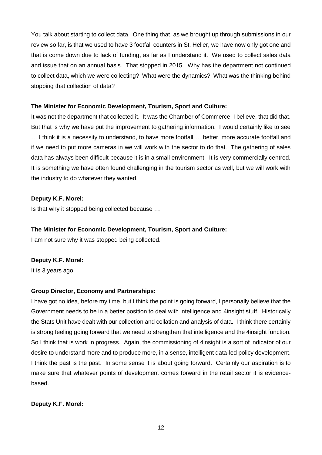You talk about starting to collect data. One thing that, as we brought up through submissions in our review so far, is that we used to have 3 footfall counters in St. Helier, we have now only got one and that is come down due to lack of funding, as far as I understand it. We used to collect sales data and issue that on an annual basis. That stopped in 2015. Why has the department not continued to collect data, which we were collecting? What were the dynamics? What was the thinking behind stopping that collection of data?

## **The Minister for Economic Development, Tourism, Sport and Culture:**

It was not the department that collected it. It was the Chamber of Commerce, I believe, that did that. But that is why we have put the improvement to gathering information. I would certainly like to see … I think it is a necessity to understand, to have more footfall … better, more accurate footfall and if we need to put more cameras in we will work with the sector to do that. The gathering of sales data has always been difficult because it is in a small environment. It is very commercially centred. It is something we have often found challenging in the tourism sector as well, but we will work with the industry to do whatever they wanted.

## **Deputy K.F. Morel:**

Is that why it stopped being collected because …

# **The Minister for Economic Development, Tourism, Sport and Culture:**

I am not sure why it was stopped being collected.

## **Deputy K.F. Morel:**

It is 3 years ago.

# **Group Director, Economy and Partnerships:**

I have got no idea, before my time, but I think the point is going forward, I personally believe that the Government needs to be in a better position to deal with intelligence and 4insight stuff. Historically the Stats Unit have dealt with our collection and collation and analysis of data. I think there certainly is strong feeling going forward that we need to strengthen that intelligence and the 4insight function. So I think that is work in progress. Again, the commissioning of 4insight is a sort of indicator of our desire to understand more and to produce more, in a sense, intelligent data-led policy development. I think the past is the past. In some sense it is about going forward. Certainly our aspiration is to make sure that whatever points of development comes forward in the retail sector it is evidencebased.

## **Deputy K.F. Morel:**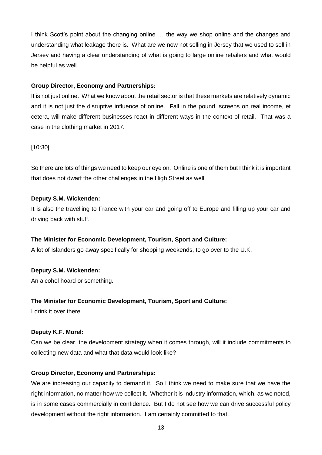I think Scott's point about the changing online … the way we shop online and the changes and understanding what leakage there is. What are we now not selling in Jersey that we used to sell in Jersey and having a clear understanding of what is going to large online retailers and what would be helpful as well.

## **Group Director, Economy and Partnerships:**

It is not just online. What we know about the retail sector is that these markets are relatively dynamic and it is not just the disruptive influence of online. Fall in the pound, screens on real income, et cetera, will make different businesses react in different ways in the context of retail. That was a case in the clothing market in 2017.

# [10:30]

So there are lots of things we need to keep our eye on. Online is one of them but I think it is important that does not dwarf the other challenges in the High Street as well.

## **Deputy S.M. Wickenden:**

It is also the travelling to France with your car and going off to Europe and filling up your car and driving back with stuff.

# **The Minister for Economic Development, Tourism, Sport and Culture:**

A lot of Islanders go away specifically for shopping weekends, to go over to the U.K.

# **Deputy S.M. Wickenden:**

An alcohol hoard or something.

# **The Minister for Economic Development, Tourism, Sport and Culture:**

I drink it over there.

## **Deputy K.F. Morel:**

Can we be clear, the development strategy when it comes through, will it include commitments to collecting new data and what that data would look like?

# **Group Director, Economy and Partnerships:**

We are increasing our capacity to demand it. So I think we need to make sure that we have the right information, no matter how we collect it. Whether it is industry information, which, as we noted, is in some cases commercially in confidence. But I do not see how we can drive successful policy development without the right information. I am certainly committed to that.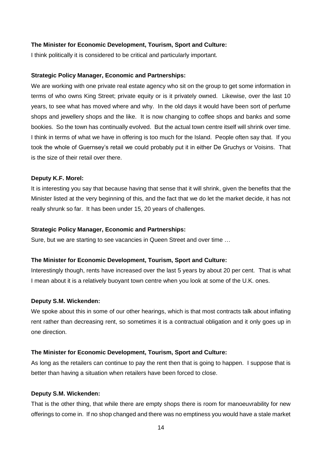#### **The Minister for Economic Development, Tourism, Sport and Culture:**

I think politically it is considered to be critical and particularly important.

#### **Strategic Policy Manager, Economic and Partnerships:**

We are working with one private real estate agency who sit on the group to get some information in terms of who owns King Street; private equity or is it privately owned. Likewise, over the last 10 years, to see what has moved where and why. In the old days it would have been sort of perfume shops and jewellery shops and the like. It is now changing to coffee shops and banks and some bookies. So the town has continually evolved. But the actual town centre itself will shrink over time. I think in terms of what we have in offering is too much for the Island. People often say that. If you took the whole of Guernsey's retail we could probably put it in either De Gruchys or Voisins. That is the size of their retail over there.

#### **Deputy K.F. Morel:**

It is interesting you say that because having that sense that it will shrink, given the benefits that the Minister listed at the very beginning of this, and the fact that we do let the market decide, it has not really shrunk so far. It has been under 15, 20 years of challenges.

#### **Strategic Policy Manager, Economic and Partnerships:**

Sure, but we are starting to see vacancies in Queen Street and over time …

#### **The Minister for Economic Development, Tourism, Sport and Culture:**

Interestingly though, rents have increased over the last 5 years by about 20 per cent. That is what I mean about it is a relatively buoyant town centre when you look at some of the U.K. ones.

#### **Deputy S.M. Wickenden:**

We spoke about this in some of our other hearings, which is that most contracts talk about inflating rent rather than decreasing rent, so sometimes it is a contractual obligation and it only goes up in one direction.

#### **The Minister for Economic Development, Tourism, Sport and Culture:**

As long as the retailers can continue to pay the rent then that is going to happen. I suppose that is better than having a situation when retailers have been forced to close.

#### **Deputy S.M. Wickenden:**

That is the other thing, that while there are empty shops there is room for manoeuvrability for new offerings to come in. If no shop changed and there was no emptiness you would have a stale market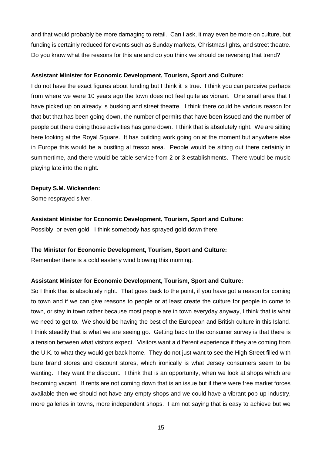and that would probably be more damaging to retail. Can I ask, it may even be more on culture, but funding is certainly reduced for events such as Sunday markets, Christmas lights, and street theatre. Do you know what the reasons for this are and do you think we should be reversing that trend?

#### **Assistant Minister for Economic Development, Tourism, Sport and Culture:**

I do not have the exact figures about funding but I think it is true. I think you can perceive perhaps from where we were 10 years ago the town does not feel quite as vibrant. One small area that I have picked up on already is busking and street theatre. I think there could be various reason for that but that has been going down, the number of permits that have been issued and the number of people out there doing those activities has gone down. I think that is absolutely right. We are sitting here looking at the Royal Square. It has building work going on at the moment but anywhere else in Europe this would be a bustling al fresco area. People would be sitting out there certainly in summertime, and there would be table service from 2 or 3 establishments. There would be music playing late into the night.

### **Deputy S.M. Wickenden:**

Some resprayed silver.

### **Assistant Minister for Economic Development, Tourism, Sport and Culture:**

Possibly, or even gold. I think somebody has sprayed gold down there.

## **The Minister for Economic Development, Tourism, Sport and Culture:**

Remember there is a cold easterly wind blowing this morning.

## **Assistant Minister for Economic Development, Tourism, Sport and Culture:**

So I think that is absolutely right. That goes back to the point, if you have got a reason for coming to town and if we can give reasons to people or at least create the culture for people to come to town, or stay in town rather because most people are in town everyday anyway, I think that is what we need to get to. We should be having the best of the European and British culture in this Island. I think steadily that is what we are seeing go. Getting back to the consumer survey is that there is a tension between what visitors expect. Visitors want a different experience if they are coming from the U.K. to what they would get back home. They do not just want to see the High Street filled with bare brand stores and discount stores, which ironically is what Jersey consumers seem to be wanting. They want the discount. I think that is an opportunity, when we look at shops which are becoming vacant. If rents are not coming down that is an issue but if there were free market forces available then we should not have any empty shops and we could have a vibrant pop-up industry, more galleries in towns, more independent shops. I am not saying that is easy to achieve but we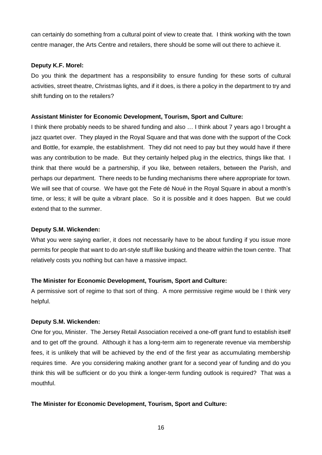can certainly do something from a cultural point of view to create that. I think working with the town centre manager, the Arts Centre and retailers, there should be some will out there to achieve it.

## **Deputy K.F. Morel:**

Do you think the department has a responsibility to ensure funding for these sorts of cultural activities, street theatre, Christmas lights, and if it does, is there a policy in the department to try and shift funding on to the retailers?

## **Assistant Minister for Economic Development, Tourism, Sport and Culture:**

I think there probably needs to be shared funding and also … I think about 7 years ago I brought a jazz quartet over. They played in the Royal Square and that was done with the support of the Cock and Bottle, for example, the establishment. They did not need to pay but they would have if there was any contribution to be made. But they certainly helped plug in the electrics, things like that. I think that there would be a partnership, if you like, between retailers, between the Parish, and perhaps our department. There needs to be funding mechanisms there where appropriate for town. We will see that of course. We have got the Fete dé Noué in the Royal Square in about a month's time, or less; it will be quite a vibrant place. So it is possible and it does happen. But we could extend that to the summer.

# **Deputy S.M. Wickenden:**

What you were saying earlier, it does not necessarily have to be about funding if you issue more permits for people that want to do art-style stuff like busking and theatre within the town centre. That relatively costs you nothing but can have a massive impact.

# **The Minister for Economic Development, Tourism, Sport and Culture:**

A permissive sort of regime to that sort of thing. A more permissive regime would be I think very helpful.

# **Deputy S.M. Wickenden:**

One for you, Minister. The Jersey Retail Association received a one-off grant fund to establish itself and to get off the ground. Although it has a long-term aim to regenerate revenue via membership fees, it is unlikely that will be achieved by the end of the first year as accumulating membership requires time. Are you considering making another grant for a second year of funding and do you think this will be sufficient or do you think a longer-term funding outlook is required? That was a mouthful.

# **The Minister for Economic Development, Tourism, Sport and Culture:**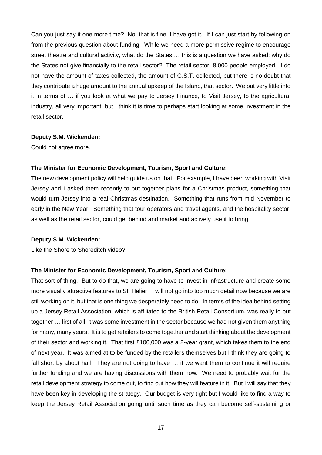Can you just say it one more time? No, that is fine, I have got it. If I can just start by following on from the previous question about funding. While we need a more permissive regime to encourage street theatre and cultural activity, what do the States … this is a question we have asked: why do the States not give financially to the retail sector? The retail sector; 8,000 people employed. I do not have the amount of taxes collected, the amount of G.S.T. collected, but there is no doubt that they contribute a huge amount to the annual upkeep of the Island, that sector. We put very little into it in terms of … if you look at what we pay to Jersey Finance, to Visit Jersey, to the agricultural industry, all very important, but I think it is time to perhaps start looking at some investment in the retail sector.

#### **Deputy S.M. Wickenden:**

Could not agree more.

## **The Minister for Economic Development, Tourism, Sport and Culture:**

The new development policy will help guide us on that. For example, I have been working with Visit Jersey and I asked them recently to put together plans for a Christmas product, something that would turn Jersey into a real Christmas destination. Something that runs from mid-November to early in the New Year. Something that tour operators and travel agents, and the hospitality sector, as well as the retail sector, could get behind and market and actively use it to bring …

#### **Deputy S.M. Wickenden:**

Like the Shore to Shoreditch video?

## **The Minister for Economic Development, Tourism, Sport and Culture:**

That sort of thing. But to do that, we are going to have to invest in infrastructure and create some more visually attractive features to St. Helier. I will not go into too much detail now because we are still working on it, but that is one thing we desperately need to do. In terms of the idea behind setting up a Jersey Retail Association, which is affiliated to the British Retail Consortium, was really to put together … first of all, it was some investment in the sector because we had not given them anything for many, many years. It is to get retailers to come together and start thinking about the development of their sector and working it. That first £100,000 was a 2-year grant, which takes them to the end of next year. It was aimed at to be funded by the retailers themselves but I think they are going to fall short by about half. They are not going to have ... if we want them to continue it will require further funding and we are having discussions with them now. We need to probably wait for the retail development strategy to come out, to find out how they will feature in it. But I will say that they have been key in developing the strategy. Our budget is very tight but I would like to find a way to keep the Jersey Retail Association going until such time as they can become self-sustaining or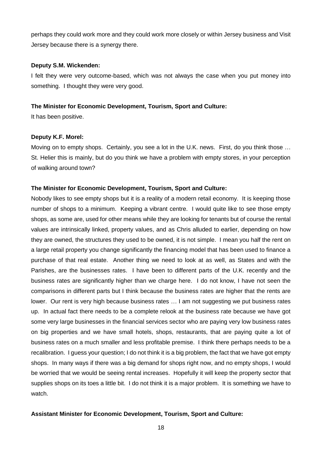perhaps they could work more and they could work more closely or within Jersey business and Visit Jersey because there is a synergy there.

## **Deputy S.M. Wickenden:**

I felt they were very outcome-based, which was not always the case when you put money into something. I thought they were very good.

## **The Minister for Economic Development, Tourism, Sport and Culture:**

It has been positive.

## **Deputy K.F. Morel:**

Moving on to empty shops. Certainly, you see a lot in the U.K. news. First, do you think those … St. Helier this is mainly, but do you think we have a problem with empty stores, in your perception of walking around town?

## **The Minister for Economic Development, Tourism, Sport and Culture:**

Nobody likes to see empty shops but it is a reality of a modern retail economy. It is keeping those number of shops to a minimum. Keeping a vibrant centre. I would quite like to see those empty shops, as some are, used for other means while they are looking for tenants but of course the rental values are intrinsically linked, property values, and as Chris alluded to earlier, depending on how they are owned, the structures they used to be owned, it is not simple. I mean you half the rent on a large retail property you change significantly the financing model that has been used to finance a purchase of that real estate. Another thing we need to look at as well, as States and with the Parishes, are the businesses rates. I have been to different parts of the U.K. recently and the business rates are significantly higher than we charge here. I do not know, I have not seen the comparisons in different parts but I think because the business rates are higher that the rents are lower. Our rent is very high because business rates … I am not suggesting we put business rates up. In actual fact there needs to be a complete relook at the business rate because we have got some very large businesses in the financial services sector who are paying very low business rates on big properties and we have small hotels, shops, restaurants, that are paying quite a lot of business rates on a much smaller and less profitable premise. I think there perhaps needs to be a recalibration. I guess your question; I do not think it is a big problem, the fact that we have got empty shops. In many ways if there was a big demand for shops right now, and no empty shops, I would be worried that we would be seeing rental increases. Hopefully it will keep the property sector that supplies shops on its toes a little bit. I do not think it is a major problem. It is something we have to watch.

# **Assistant Minister for Economic Development, Tourism, Sport and Culture:**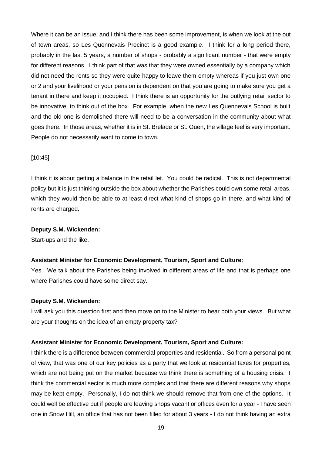Where it can be an issue, and I think there has been some improvement, is when we look at the out of town areas, so Les Quennevais Precinct is a good example. I think for a long period there, probably in the last 5 years, a number of shops - probably a significant number - that were empty for different reasons. I think part of that was that they were owned essentially by a company which did not need the rents so they were quite happy to leave them empty whereas if you just own one or 2 and your livelihood or your pension is dependent on that you are going to make sure you get a tenant in there and keep it occupied. I think there is an opportunity for the outlying retail sector to be innovative, to think out of the box. For example, when the new Les Quennevais School is built and the old one is demolished there will need to be a conversation in the community about what goes there. In those areas, whether it is in St. Brelade or St. Ouen, the village feel is very important. People do not necessarily want to come to town.

## [10:45]

I think it is about getting a balance in the retail let. You could be radical. This is not departmental policy but it is just thinking outside the box about whether the Parishes could own some retail areas, which they would then be able to at least direct what kind of shops go in there, and what kind of rents are charged.

#### **Deputy S.M. Wickenden:**

Start-ups and the like.

#### **Assistant Minister for Economic Development, Tourism, Sport and Culture:**

Yes. We talk about the Parishes being involved in different areas of life and that is perhaps one where Parishes could have some direct say.

#### **Deputy S.M. Wickenden:**

I will ask you this question first and then move on to the Minister to hear both your views. But what are your thoughts on the idea of an empty property tax?

#### **Assistant Minister for Economic Development, Tourism, Sport and Culture:**

I think there is a difference between commercial properties and residential. So from a personal point of view, that was one of our key policies as a party that we look at residential taxes for properties, which are not being put on the market because we think there is something of a housing crisis. I think the commercial sector is much more complex and that there are different reasons why shops may be kept empty. Personally, I do not think we should remove that from one of the options. It could well be effective but if people are leaving shops vacant or offices even for a year - I have seen one in Snow Hill, an office that has not been filled for about 3 years - I do not think having an extra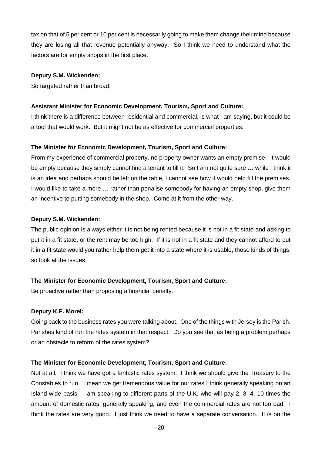tax on that of 5 per cent or 10 per cent is necessarily going to make them change their mind because they are losing all that revenue potentially anyway. So I think we need to understand what the factors are for empty shops in the first place.

#### **Deputy S.M. Wickenden:**

So targeted rather than broad.

#### **Assistant Minister for Economic Development, Tourism, Sport and Culture:**

I think there is a difference between residential and commercial, is what I am saying, but it could be a tool that would work. But it might not be as effective for commercial properties.

## **The Minister for Economic Development, Tourism, Sport and Culture:**

From my experience of commercial property, no property owner wants an empty premise. It would be empty because they simply cannot find a tenant to fill it. So I am not quite sure … while I think it is an idea and perhaps should be left on the table, I cannot see how it would help fill the premises. I would like to take a more … rather than penalise somebody for having an empty shop, give them an incentive to putting somebody in the shop. Come at it from the other way.

#### **Deputy S.M. Wickenden:**

The public opinion is always either it is not being rented because it is not in a fit state and asking to put it in a fit state, or the rent may be too high. If it is not in a fit state and they cannot afford to put it in a fit state would you rather help them get it into a state where it is usable, those kinds of things, so look at the issues.

#### **The Minister for Economic Development, Tourism, Sport and Culture:**

Be proactive rather than proposing a financial penalty.

#### **Deputy K.F. Morel:**

Going back to the business rates you were talking about. One of the things with Jersey is the Parish. Parishes kind of run the rates system in that respect. Do you see that as being a problem perhaps or an obstacle to reform of the rates system?

#### **The Minister for Economic Development, Tourism, Sport and Culture:**

Not at all. I think we have got a fantastic rates system. I think we should give the Treasury to the Constables to run. I mean we get tremendous value for our rates I think generally speaking on an Island-wide basis. I am speaking to different parts of the U.K. who will pay 2, 3, 4, 10 times the amount of domestic rates, generally speaking, and even the commercial rates are not too bad. I think the rates are very good. I just think we need to have a separate conversation. It is on the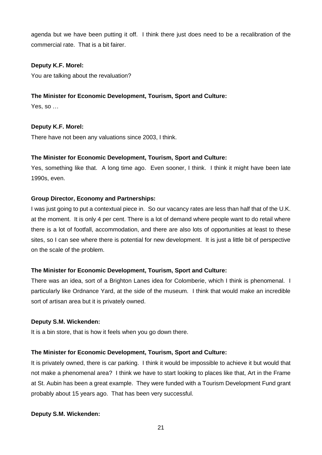agenda but we have been putting it off. I think there just does need to be a recalibration of the commercial rate. That is a bit fairer.

## **Deputy K.F. Morel:**

You are talking about the revaluation?

# **The Minister for Economic Development, Tourism, Sport and Culture:**

Yes, so …

## **Deputy K.F. Morel:**

There have not been any valuations since 2003, I think.

## **The Minister for Economic Development, Tourism, Sport and Culture:**

Yes, something like that. A long time ago. Even sooner, I think. I think it might have been late 1990s, even.

## **Group Director, Economy and Partnerships:**

I was just going to put a contextual piece in. So our vacancy rates are less than half that of the U.K. at the moment. It is only 4 per cent. There is a lot of demand where people want to do retail where there is a lot of footfall, accommodation, and there are also lots of opportunities at least to these sites, so I can see where there is potential for new development. It is just a little bit of perspective on the scale of the problem.

## **The Minister for Economic Development, Tourism, Sport and Culture:**

There was an idea, sort of a Brighton Lanes idea for Colomberie, which I think is phenomenal. I particularly like Ordnance Yard, at the side of the museum. I think that would make an incredible sort of artisan area but it is privately owned.

## **Deputy S.M. Wickenden:**

It is a bin store, that is how it feels when you go down there.

# **The Minister for Economic Development, Tourism, Sport and Culture:**

It is privately owned, there is car parking. I think it would be impossible to achieve it but would that not make a phenomenal area? I think we have to start looking to places like that, Art in the Frame at St. Aubin has been a great example. They were funded with a Tourism Development Fund grant probably about 15 years ago. That has been very successful.

## **Deputy S.M. Wickenden:**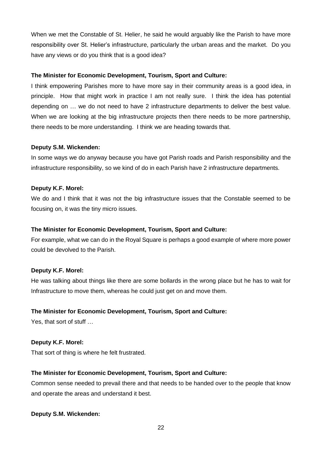When we met the Constable of St. Helier, he said he would arguably like the Parish to have more responsibility over St. Helier's infrastructure, particularly the urban areas and the market. Do you have any views or do you think that is a good idea?

## **The Minister for Economic Development, Tourism, Sport and Culture:**

I think empowering Parishes more to have more say in their community areas is a good idea, in principle. How that might work in practice I am not really sure. I think the idea has potential depending on … we do not need to have 2 infrastructure departments to deliver the best value. When we are looking at the big infrastructure projects then there needs to be more partnership, there needs to be more understanding. I think we are heading towards that.

### **Deputy S.M. Wickenden:**

In some ways we do anyway because you have got Parish roads and Parish responsibility and the infrastructure responsibility, so we kind of do in each Parish have 2 infrastructure departments.

### **Deputy K.F. Morel:**

We do and I think that it was not the big infrastructure issues that the Constable seemed to be focusing on, it was the tiny micro issues.

## **The Minister for Economic Development, Tourism, Sport and Culture:**

For example, what we can do in the Royal Square is perhaps a good example of where more power could be devolved to the Parish.

#### **Deputy K.F. Morel:**

He was talking about things like there are some bollards in the wrong place but he has to wait for Infrastructure to move them, whereas he could just get on and move them.

## **The Minister for Economic Development, Tourism, Sport and Culture:**

Yes, that sort of stuff …

#### **Deputy K.F. Morel:**

That sort of thing is where he felt frustrated.

## **The Minister for Economic Development, Tourism, Sport and Culture:**

Common sense needed to prevail there and that needs to be handed over to the people that know and operate the areas and understand it best.

## **Deputy S.M. Wickenden:**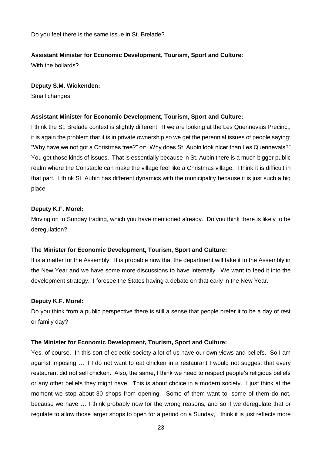Do you feel there is the same issue in St. Brelade?

#### **Assistant Minister for Economic Development, Tourism, Sport and Culture:**

With the bollards?

#### **Deputy S.M. Wickenden:**

Small changes.

#### **Assistant Minister for Economic Development, Tourism, Sport and Culture:**

I think the St. Brelade context is slightly different. If we are looking at the Les Quennevais Precinct, it is again the problem that it is in private ownership so we get the perennial issues of people saying: "Why have we not got a Christmas tree?" or: "Why does St. Aubin look nicer than Les Quennevais?" You get those kinds of issues. That is essentially because in St. Aubin there is a much bigger public realm where the Constable can make the village feel like a Christmas village. I think it is difficult in that part. I think St. Aubin has different dynamics with the municipality because it is just such a big place.

#### **Deputy K.F. Morel:**

Moving on to Sunday trading, which you have mentioned already. Do you think there is likely to be deregulation?

## **The Minister for Economic Development, Tourism, Sport and Culture:**

It is a matter for the Assembly. It is probable now that the department will take it to the Assembly in the New Year and we have some more discussions to have internally. We want to feed it into the development strategy. I foresee the States having a debate on that early in the New Year.

#### **Deputy K.F. Morel:**

Do you think from a public perspective there is still a sense that people prefer it to be a day of rest or family day?

#### **The Minister for Economic Development, Tourism, Sport and Culture:**

Yes, of course. In this sort of eclectic society a lot of us have our own views and beliefs. So I am against imposing … if I do not want to eat chicken in a restaurant I would not suggest that every restaurant did not sell chicken. Also, the same, I think we need to respect people's religious beliefs or any other beliefs they might have. This is about choice in a modern society. I just think at the moment we stop about 30 shops from opening. Some of them want to, some of them do not, because we have … I think probably now for the wrong reasons, and so if we deregulate that or regulate to allow those larger shops to open for a period on a Sunday, I think it is just reflects more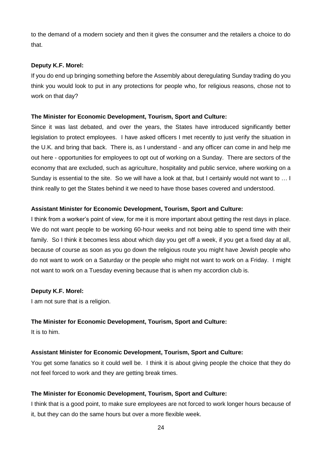to the demand of a modern society and then it gives the consumer and the retailers a choice to do that.

## **Deputy K.F. Morel:**

If you do end up bringing something before the Assembly about deregulating Sunday trading do you think you would look to put in any protections for people who, for religious reasons, chose not to work on that day?

### **The Minister for Economic Development, Tourism, Sport and Culture:**

Since it was last debated, and over the years, the States have introduced significantly better legislation to protect employees. I have asked officers I met recently to just verify the situation in the U.K. and bring that back. There is, as I understand - and any officer can come in and help me out here - opportunities for employees to opt out of working on a Sunday. There are sectors of the economy that are excluded, such as agriculture, hospitality and public service, where working on a Sunday is essential to the site. So we will have a look at that, but I certainly would not want to … I think really to get the States behind it we need to have those bases covered and understood.

### **Assistant Minister for Economic Development, Tourism, Sport and Culture:**

I think from a worker's point of view, for me it is more important about getting the rest days in place. We do not want people to be working 60-hour weeks and not being able to spend time with their family. So I think it becomes less about which day you get off a week, if you get a fixed day at all, because of course as soon as you go down the religious route you might have Jewish people who do not want to work on a Saturday or the people who might not want to work on a Friday. I might not want to work on a Tuesday evening because that is when my accordion club is.

## **Deputy K.F. Morel:**

I am not sure that is a religion.

## **The Minister for Economic Development, Tourism, Sport and Culture:**

It is to him.

## **Assistant Minister for Economic Development, Tourism, Sport and Culture:**

You get some fanatics so it could well be. I think it is about giving people the choice that they do not feel forced to work and they are getting break times.

## **The Minister for Economic Development, Tourism, Sport and Culture:**

I think that is a good point, to make sure employees are not forced to work longer hours because of it, but they can do the same hours but over a more flexible week.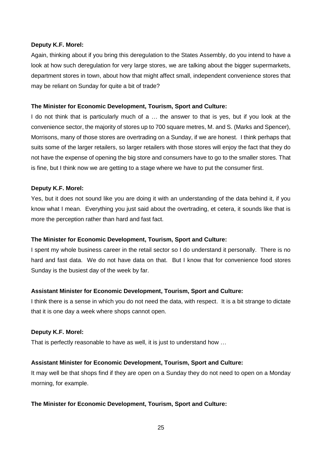#### **Deputy K.F. Morel:**

Again, thinking about if you bring this deregulation to the States Assembly, do you intend to have a look at how such deregulation for very large stores, we are talking about the bigger supermarkets, department stores in town, about how that might affect small, independent convenience stores that may be reliant on Sunday for quite a bit of trade?

## **The Minister for Economic Development, Tourism, Sport and Culture:**

I do not think that is particularly much of a … the answer to that is yes, but if you look at the convenience sector, the majority of stores up to 700 square metres, M. and S. (Marks and Spencer), Morrisons, many of those stores are overtrading on a Sunday, if we are honest. I think perhaps that suits some of the larger retailers, so larger retailers with those stores will enjoy the fact that they do not have the expense of opening the big store and consumers have to go to the smaller stores. That is fine, but I think now we are getting to a stage where we have to put the consumer first.

### **Deputy K.F. Morel:**

Yes, but it does not sound like you are doing it with an understanding of the data behind it, if you know what I mean. Everything you just said about the overtrading, et cetera, it sounds like that is more the perception rather than hard and fast fact.

## **The Minister for Economic Development, Tourism, Sport and Culture:**

I spent my whole business career in the retail sector so I do understand it personally. There is no hard and fast data. We do not have data on that. But I know that for convenience food stores Sunday is the busiest day of the week by far.

## **Assistant Minister for Economic Development, Tourism, Sport and Culture:**

I think there is a sense in which you do not need the data, with respect. It is a bit strange to dictate that it is one day a week where shops cannot open.

#### **Deputy K.F. Morel:**

That is perfectly reasonable to have as well, it is just to understand how …

## **Assistant Minister for Economic Development, Tourism, Sport and Culture:**

It may well be that shops find if they are open on a Sunday they do not need to open on a Monday morning, for example.

## **The Minister for Economic Development, Tourism, Sport and Culture:**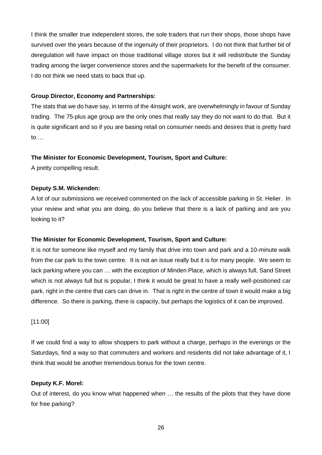I think the smaller true independent stores, the sole traders that run their shops, those shops have survived over the years because of the ingenuity of their proprietors. I do not think that further bit of deregulation will have impact on those traditional village stores but it will redistribute the Sunday trading among the larger convenience stores and the supermarkets for the benefit of the consumer. I do not think we need stats to back that up.

# **Group Director, Economy and Partnerships:**

The stats that we do have say, in terms of the 4insight work, are overwhelmingly in favour of Sunday trading. The 75-plus age group are the only ones that really say they do not want to do that. But it is quite significant and so if you are basing retail on consumer needs and desires that is pretty hard to …

## **The Minister for Economic Development, Tourism, Sport and Culture:**

A pretty compelling result.

## **Deputy S.M. Wickenden:**

A lot of our submissions we received commented on the lack of accessible parking in St. Helier. In your review and what you are doing, do you believe that there is a lack of parking and are you looking to it?

## **The Minister for Economic Development, Tourism, Sport and Culture:**

It is not for someone like myself and my family that drive into town and park and a 10-minute walk from the car park to the town centre. It is not an issue really but it is for many people. We seem to lack parking where you can … with the exception of Minden Place, which is always full, Sand Street which is not always full but is popular, I think it would be great to have a really well-positioned car park, right in the centre that cars can drive in. That is right in the centre of town it would make a big difference. So there is parking, there is capacity, but perhaps the logistics of it can be improved.

## [11:00]

If we could find a way to allow shoppers to park without a charge, perhaps in the evenings or the Saturdays, find a way so that commuters and workers and residents did not take advantage of it, I think that would be another tremendous bonus for the town centre.

## **Deputy K.F. Morel:**

Out of interest, do you know what happened when … the results of the pilots that they have done for free parking?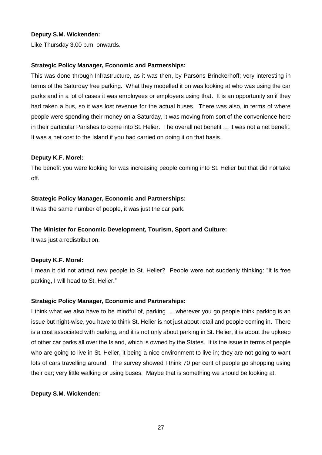## **Deputy S.M. Wickenden:**

Like Thursday 3.00 p.m. onwards.

## **Strategic Policy Manager, Economic and Partnerships:**

This was done through Infrastructure, as it was then, by Parsons Brinckerhoff; very interesting in terms of the Saturday free parking. What they modelled it on was looking at who was using the car parks and in a lot of cases it was employees or employers using that. It is an opportunity so if they had taken a bus, so it was lost revenue for the actual buses. There was also, in terms of where people were spending their money on a Saturday, it was moving from sort of the convenience here in their particular Parishes to come into St. Helier. The overall net benefit … it was not a net benefit. It was a net cost to the Island if you had carried on doing it on that basis.

## **Deputy K.F. Morel:**

The benefit you were looking for was increasing people coming into St. Helier but that did not take off.

## **Strategic Policy Manager, Economic and Partnerships:**

It was the same number of people, it was just the car park.

# **The Minister for Economic Development, Tourism, Sport and Culture:**

It was just a redistribution.

## **Deputy K.F. Morel:**

I mean it did not attract new people to St. Helier? People were not suddenly thinking: "It is free parking, I will head to St. Helier."

## **Strategic Policy Manager, Economic and Partnerships:**

I think what we also have to be mindful of, parking … wherever you go people think parking is an issue but night-wise, you have to think St. Helier is not just about retail and people coming in. There is a cost associated with parking, and it is not only about parking in St. Helier, it is about the upkeep of other car parks all over the Island, which is owned by the States. It is the issue in terms of people who are going to live in St. Helier, it being a nice environment to live in; they are not going to want lots of cars travelling around. The survey showed I think 70 per cent of people go shopping using their car; very little walking or using buses. Maybe that is something we should be looking at.

## **Deputy S.M. Wickenden:**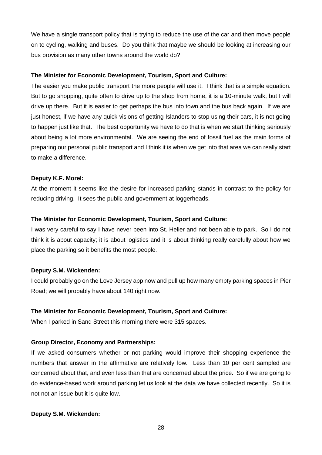We have a single transport policy that is trying to reduce the use of the car and then move people on to cycling, walking and buses. Do you think that maybe we should be looking at increasing our bus provision as many other towns around the world do?

### **The Minister for Economic Development, Tourism, Sport and Culture:**

The easier you make public transport the more people will use it. I think that is a simple equation. But to go shopping, quite often to drive up to the shop from home, it is a 10-minute walk, but I will drive up there. But it is easier to get perhaps the bus into town and the bus back again. If we are just honest, if we have any quick visions of getting Islanders to stop using their cars, it is not going to happen just like that. The best opportunity we have to do that is when we start thinking seriously about being a lot more environmental. We are seeing the end of fossil fuel as the main forms of preparing our personal public transport and I think it is when we get into that area we can really start to make a difference.

### **Deputy K.F. Morel:**

At the moment it seems like the desire for increased parking stands in contrast to the policy for reducing driving. It sees the public and government at loggerheads.

### **The Minister for Economic Development, Tourism, Sport and Culture:**

I was very careful to say I have never been into St. Helier and not been able to park. So I do not think it is about capacity; it is about logistics and it is about thinking really carefully about how we place the parking so it benefits the most people.

#### **Deputy S.M. Wickenden:**

I could probably go on the Love Jersey app now and pull up how many empty parking spaces in Pier Road; we will probably have about 140 right now.

### **The Minister for Economic Development, Tourism, Sport and Culture:**

When I parked in Sand Street this morning there were 315 spaces.

#### **Group Director, Economy and Partnerships:**

If we asked consumers whether or not parking would improve their shopping experience the numbers that answer in the affirmative are relatively low. Less than 10 per cent sampled are concerned about that, and even less than that are concerned about the price. So if we are going to do evidence-based work around parking let us look at the data we have collected recently. So it is not not an issue but it is quite low.

## **Deputy S.M. Wickenden:**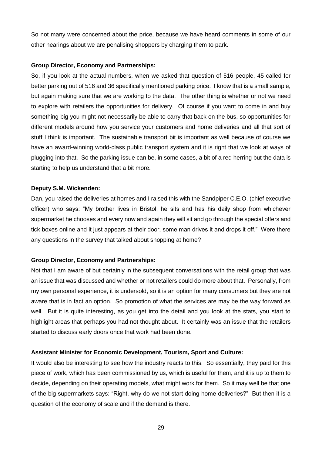So not many were concerned about the price, because we have heard comments in some of our other hearings about we are penalising shoppers by charging them to park.

## **Group Director, Economy and Partnerships:**

So, if you look at the actual numbers, when we asked that question of 516 people, 45 called for better parking out of 516 and 36 specifically mentioned parking price. I know that is a small sample, but again making sure that we are working to the data. The other thing is whether or not we need to explore with retailers the opportunities for delivery. Of course if you want to come in and buy something big you might not necessarily be able to carry that back on the bus, so opportunities for different models around how you service your customers and home deliveries and all that sort of stuff I think is important. The sustainable transport bit is important as well because of course we have an award-winning world-class public transport system and it is right that we look at ways of plugging into that. So the parking issue can be, in some cases, a bit of a red herring but the data is starting to help us understand that a bit more.

### **Deputy S.M. Wickenden:**

Dan, you raised the deliveries at homes and I raised this with the Sandpiper C.E.O. (chief executive officer) who says: "My brother lives in Bristol; he sits and has his daily shop from whichever supermarket he chooses and every now and again they will sit and go through the special offers and tick boxes online and it just appears at their door, some man drives it and drops it off." Were there any questions in the survey that talked about shopping at home?

## **Group Director, Economy and Partnerships:**

Not that I am aware of but certainly in the subsequent conversations with the retail group that was an issue that was discussed and whether or not retailers could do more about that. Personally, from my own personal experience, it is undersold, so it is an option for many consumers but they are not aware that is in fact an option. So promotion of what the services are may be the way forward as well. But it is quite interesting, as you get into the detail and you look at the stats, you start to highlight areas that perhaps you had not thought about. It certainly was an issue that the retailers started to discuss early doors once that work had been done.

## **Assistant Minister for Economic Development, Tourism, Sport and Culture:**

It would also be interesting to see how the industry reacts to this. So essentially, they paid for this piece of work, which has been commissioned by us, which is useful for them, and it is up to them to decide, depending on their operating models, what might work for them. So it may well be that one of the big supermarkets says: "Right, why do we not start doing home deliveries?" But then it is a question of the economy of scale and if the demand is there.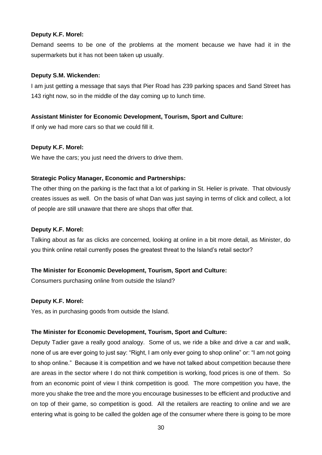#### **Deputy K.F. Morel:**

Demand seems to be one of the problems at the moment because we have had it in the supermarkets but it has not been taken up usually.

### **Deputy S.M. Wickenden:**

I am just getting a message that says that Pier Road has 239 parking spaces and Sand Street has 143 right now, so in the middle of the day coming up to lunch time.

## **Assistant Minister for Economic Development, Tourism, Sport and Culture:**

If only we had more cars so that we could fill it.

### **Deputy K.F. Morel:**

We have the cars; you just need the drivers to drive them.

### **Strategic Policy Manager, Economic and Partnerships:**

The other thing on the parking is the fact that a lot of parking in St. Helier is private. That obviously creates issues as well. On the basis of what Dan was just saying in terms of click and collect, a lot of people are still unaware that there are shops that offer that.

## **Deputy K.F. Morel:**

Talking about as far as clicks are concerned, looking at online in a bit more detail, as Minister, do you think online retail currently poses the greatest threat to the Island's retail sector?

## **The Minister for Economic Development, Tourism, Sport and Culture:**

Consumers purchasing online from outside the Island?

#### **Deputy K.F. Morel:**

Yes, as in purchasing goods from outside the Island.

## **The Minister for Economic Development, Tourism, Sport and Culture:**

Deputy Tadier gave a really good analogy. Some of us, we ride a bike and drive a car and walk, none of us are ever going to just say: "Right, I am only ever going to shop online" or: "I am not going to shop online." Because it is competition and we have not talked about competition because there are areas in the sector where I do not think competition is working, food prices is one of them. So from an economic point of view I think competition is good. The more competition you have, the more you shake the tree and the more you encourage businesses to be efficient and productive and on top of their game, so competition is good. All the retailers are reacting to online and we are entering what is going to be called the golden age of the consumer where there is going to be more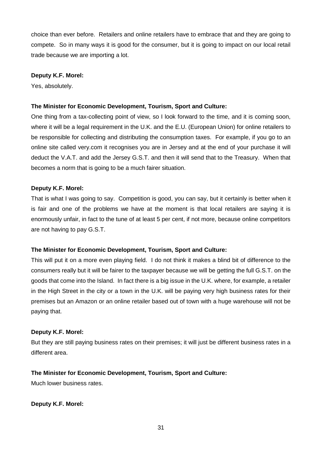choice than ever before. Retailers and online retailers have to embrace that and they are going to compete. So in many ways it is good for the consumer, but it is going to impact on our local retail trade because we are importing a lot.

## **Deputy K.F. Morel:**

Yes, absolutely.

## **The Minister for Economic Development, Tourism, Sport and Culture:**

One thing from a tax-collecting point of view, so I look forward to the time, and it is coming soon, where it will be a legal requirement in the U.K. and the E.U. (European Union) for online retailers to be responsible for collecting and distributing the consumption taxes. For example, if you go to an online site called very.com it recognises you are in Jersey and at the end of your purchase it will deduct the V.A.T. and add the Jersey G.S.T. and then it will send that to the Treasury. When that becomes a norm that is going to be a much fairer situation.

## **Deputy K.F. Morel:**

That is what I was going to say. Competition is good, you can say, but it certainly is better when it is fair and one of the problems we have at the moment is that local retailers are saying it is enormously unfair, in fact to the tune of at least 5 per cent, if not more, because online competitors are not having to pay G.S.T.

## **The Minister for Economic Development, Tourism, Sport and Culture:**

This will put it on a more even playing field. I do not think it makes a blind bit of difference to the consumers really but it will be fairer to the taxpayer because we will be getting the full G.S.T. on the goods that come into the Island. In fact there is a big issue in the U.K. where, for example, a retailer in the High Street in the city or a town in the U.K. will be paying very high business rates for their premises but an Amazon or an online retailer based out of town with a huge warehouse will not be paying that.

## **Deputy K.F. Morel:**

But they are still paying business rates on their premises; it will just be different business rates in a different area.

# **The Minister for Economic Development, Tourism, Sport and Culture:**

Much lower business rates.

## **Deputy K.F. Morel:**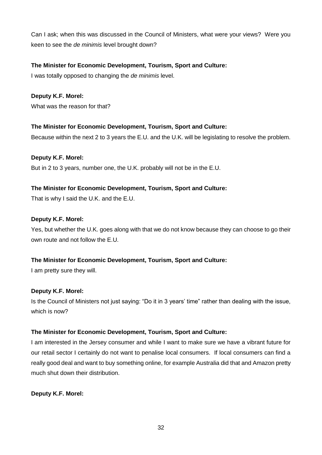Can I ask; when this was discussed in the Council of Ministers, what were your views? Were you keen to see the *de minimis* level brought down?

# **The Minister for Economic Development, Tourism, Sport and Culture:**

I was totally opposed to changing the *de minimis* level.

# **Deputy K.F. Morel:**

What was the reason for that?

# **The Minister for Economic Development, Tourism, Sport and Culture:**

Because within the next 2 to 3 years the E.U. and the U.K. will be legislating to resolve the problem.

# **Deputy K.F. Morel:**

But in 2 to 3 years, number one, the U.K. probably will not be in the E.U.

# **The Minister for Economic Development, Tourism, Sport and Culture:**

That is why I said the U.K. and the E.U.

## **Deputy K.F. Morel:**

Yes, but whether the U.K. goes along with that we do not know because they can choose to go their own route and not follow the E.U.

# **The Minister for Economic Development, Tourism, Sport and Culture:**

I am pretty sure they will.

# **Deputy K.F. Morel:**

Is the Council of Ministers not just saying: "Do it in 3 years' time" rather than dealing with the issue, which is now?

# **The Minister for Economic Development, Tourism, Sport and Culture:**

I am interested in the Jersey consumer and while I want to make sure we have a vibrant future for our retail sector I certainly do not want to penalise local consumers. If local consumers can find a really good deal and want to buy something online, for example Australia did that and Amazon pretty much shut down their distribution.

# **Deputy K.F. Morel:**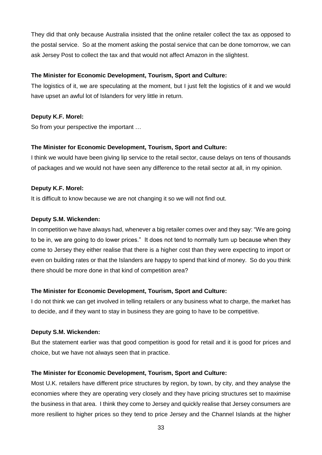They did that only because Australia insisted that the online retailer collect the tax as opposed to the postal service. So at the moment asking the postal service that can be done tomorrow, we can ask Jersey Post to collect the tax and that would not affect Amazon in the slightest.

## **The Minister for Economic Development, Tourism, Sport and Culture:**

The logistics of it, we are speculating at the moment, but I just felt the logistics of it and we would have upset an awful lot of Islanders for very little in return.

## **Deputy K.F. Morel:**

So from your perspective the important …

### **The Minister for Economic Development, Tourism, Sport and Culture:**

I think we would have been giving lip service to the retail sector, cause delays on tens of thousands of packages and we would not have seen any difference to the retail sector at all, in my opinion.

### **Deputy K.F. Morel:**

It is difficult to know because we are not changing it so we will not find out.

### **Deputy S.M. Wickenden:**

In competition we have always had, whenever a big retailer comes over and they say: "We are going to be in, we are going to do lower prices." It does not tend to normally turn up because when they come to Jersey they either realise that there is a higher cost than they were expecting to import or even on building rates or that the Islanders are happy to spend that kind of money. So do you think there should be more done in that kind of competition area?

## **The Minister for Economic Development, Tourism, Sport and Culture:**

I do not think we can get involved in telling retailers or any business what to charge, the market has to decide, and if they want to stay in business they are going to have to be competitive.

## **Deputy S.M. Wickenden:**

But the statement earlier was that good competition is good for retail and it is good for prices and choice, but we have not always seen that in practice.

## **The Minister for Economic Development, Tourism, Sport and Culture:**

Most U.K. retailers have different price structures by region, by town, by city, and they analyse the economies where they are operating very closely and they have pricing structures set to maximise the business in that area. I think they come to Jersey and quickly realise that Jersey consumers are more resilient to higher prices so they tend to price Jersey and the Channel Islands at the higher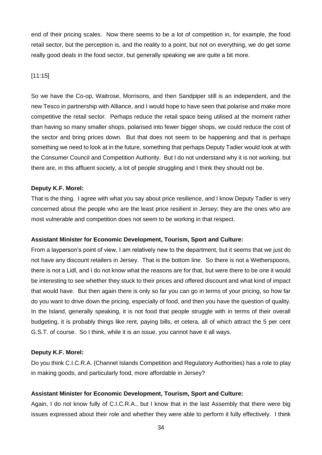end of their pricing scales. Now there seems to be a lot of competition in, for example, the food retail sector, but the perception is, and the reality to a point, but not on everything, we do get some really good deals in the food sector, but generally speaking we are quite a bit more.

## [11:15]

So we have the Co-op, Waitrose, Morrisons, and then Sandpiper still is an independent, and the new Tesco in partnership with Alliance, and I would hope to have seen that polarise and make more competitive the retail sector. Perhaps reduce the retail space being utilised at the moment rather than having so many smaller shops, polarised into fewer bigger shops, we could reduce the cost of the sector and bring prices down. But that does not seem to be happening and that is perhaps something we need to look at in the future, something that perhaps Deputy Tadier would look at with the Consumer Council and Competition Authority. But I do not understand why it is not working, but there are, in this affluent society, a lot of people struggling and I think they should not be.

## **Deputy K.F. Morel:**

That is the thing. I agree with what you say about price resilience, and I know Deputy Tadier is very concerned about the people who are the least price resilient in Jersey; they are the ones who are most vulnerable and competition does not seem to be working in that respect.

## **Assistant Minister for Economic Development, Tourism, Sport and Culture:**

From a layperson's point of view, I am relatively new to the department, but it seems that we just do not have any discount retailers in Jersey. That is the bottom line. So there is not a Wetherspoons, there is not a Lidl, and I do not know what the reasons are for that, but were there to be one it would be interesting to see whether they stuck to their prices and offered discount and what kind of impact that would have. But then again there is only so far you can go in terms of your pricing, so how far do you want to drive down the pricing, especially of food, and then you have the question of quality. In the Island, generally speaking, it is not food that people struggle with in terms of their overall budgeting, it is probably things like rent, paying bills, et cetera, all of which attract the 5 per cent G.S.T. of course. So I think, while it is an issue, you cannot have it all ways.

## **Deputy K.F. Morel:**

Do you think C.I.C.R.A. (Channel Islands Competition and Regulatory Authorities) has a role to play in making goods, and particularly food, more affordable in Jersey?

# **Assistant Minister for Economic Development, Tourism, Sport and Culture:**

Again, I do not know fully of C.I.C.R.A., but I know that in the last Assembly that there were big issues expressed about their role and whether they were able to perform it fully effectively. I think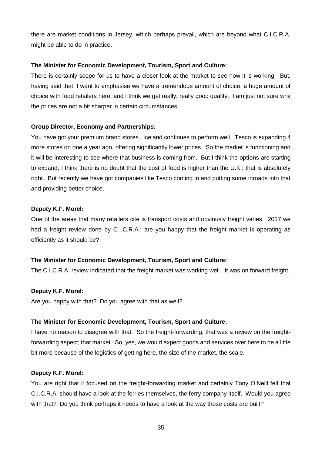there are market conditions in Jersey, which perhaps prevail, which are beyond what C.I.C.R.A. might be able to do in practice.

## **The Minister for Economic Development, Tourism, Sport and Culture:**

There is certainly scope for us to have a closer look at the market to see how it is working. But, having said that, I want to emphasise we have a tremendous amount of choice, a huge amount of choice with food retailers here, and I think we get really, really good quality. I am just not sure why the prices are not a bit sharper in certain circumstances.

### **Group Director, Economy and Partnerships:**

You have got your premium brand stores. Iceland continues to perform well. Tesco is expanding 4 more stores on one a year ago, offering significantly lower prices. So the market is functioning and it will be interesting to see where that business is coming from. But I think the options are starting to expand; I think there is no doubt that the cost of food is higher than the U.K.; that is absolutely right. But recently we have got companies like Tesco coming in and putting some inroads into that and providing better choice.

#### **Deputy K.F. Morel:**

One of the areas that many retailers cite is transport costs and obviously freight varies. 2017 we had a freight review done by C.I.C.R.A.; are you happy that the freight market is operating as efficiently as it should be?

## **The Minister for Economic Development, Tourism, Sport and Culture:**

The C.I.C.R.A. review indicated that the freight market was working well. It was on forward freight.

#### **Deputy K.F. Morel:**

Are you happy with that? Do you agree with that as well?

#### **The Minister for Economic Development, Tourism, Sport and Culture:**

I have no reason to disagree with that. So the freight-forwarding, that was a review on the freightforwarding aspect; that market. So, yes, we would expect goods and services over here to be a little bit more because of the logistics of getting here, the size of the market, the scale.

#### **Deputy K.F. Morel:**

You are right that it focused on the freight-forwarding market and certainly Tony O'Neill felt that C.I.C.R.A. should have a look at the ferries themselves, the ferry company itself. Would you agree with that? Do you think perhaps it needs to have a look at the way those costs are built?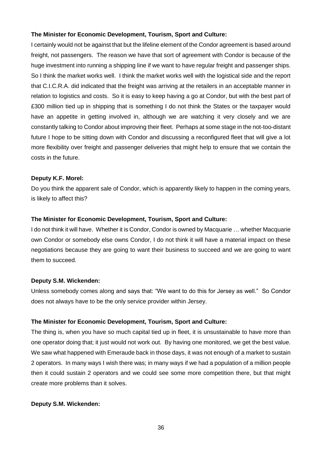## **The Minister for Economic Development, Tourism, Sport and Culture:**

I certainly would not be against that but the lifeline element of the Condor agreement is based around freight, not passengers. The reason we have that sort of agreement with Condor is because of the huge investment into running a shipping line if we want to have regular freight and passenger ships. So I think the market works well. I think the market works well with the logistical side and the report that C.I.C.R.A. did indicated that the freight was arriving at the retailers in an acceptable manner in relation to logistics and costs. So it is easy to keep having a go at Condor, but with the best part of £300 million tied up in shipping that is something I do not think the States or the taxpayer would have an appetite in getting involved in, although we are watching it very closely and we are constantly talking to Condor about improving their fleet. Perhaps at some stage in the not-too-distant future I hope to be sitting down with Condor and discussing a reconfigured fleet that will give a lot more flexibility over freight and passenger deliveries that might help to ensure that we contain the costs in the future.

## **Deputy K.F. Morel:**

Do you think the apparent sale of Condor, which is apparently likely to happen in the coming years, is likely to affect this?

## **The Minister for Economic Development, Tourism, Sport and Culture:**

I do not think it will have. Whether it is Condor, Condor is owned by Macquarie … whether Macquarie own Condor or somebody else owns Condor, I do not think it will have a material impact on these negotiations because they are going to want their business to succeed and we are going to want them to succeed.

## **Deputy S.M. Wickenden:**

Unless somebody comes along and says that: "We want to do this for Jersey as well." So Condor does not always have to be the only service provider within Jersey.

## **The Minister for Economic Development, Tourism, Sport and Culture:**

The thing is, when you have so much capital tied up in fleet, it is unsustainable to have more than one operator doing that; it just would not work out. By having one monitored, we get the best value. We saw what happened with Emeraude back in those days, it was not enough of a market to sustain 2 operators. In many ways I wish there was; in many ways if we had a population of a million people then it could sustain 2 operators and we could see some more competition there, but that might create more problems than it solves.

## **Deputy S.M. Wickenden:**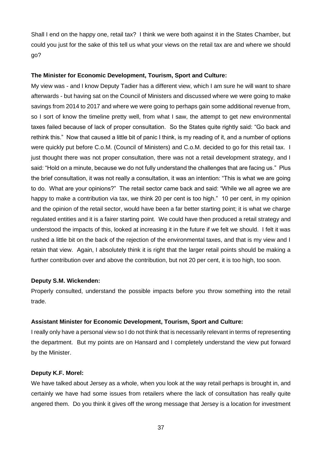Shall I end on the happy one, retail tax? I think we were both against it in the States Chamber, but could you just for the sake of this tell us what your views on the retail tax are and where we should go?

## **The Minister for Economic Development, Tourism, Sport and Culture:**

My view was - and I know Deputy Tadier has a different view, which I am sure he will want to share afterwards - but having sat on the Council of Ministers and discussed where we were going to make savings from 2014 to 2017 and where we were going to perhaps gain some additional revenue from, so I sort of know the timeline pretty well, from what I saw, the attempt to get new environmental taxes failed because of lack of proper consultation. So the States quite rightly said: "Go back and rethink this." Now that caused a little bit of panic I think, is my reading of it, and a number of options were quickly put before C.o.M. (Council of Ministers) and C.o.M. decided to go for this retail tax. I just thought there was not proper consultation, there was not a retail development strategy, and I said: "Hold on a minute, because we do not fully understand the challenges that are facing us." Plus the brief consultation, it was not really a consultation, it was an intention: "This is what we are going to do. What are your opinions?" The retail sector came back and said: "While we all agree we are happy to make a contribution via tax, we think 20 per cent is too high." 10 per cent, in my opinion and the opinion of the retail sector, would have been a far better starting point; it is what we charge regulated entities and it is a fairer starting point. We could have then produced a retail strategy and understood the impacts of this, looked at increasing it in the future if we felt we should. I felt it was rushed a little bit on the back of the rejection of the environmental taxes, and that is my view and I retain that view. Again, I absolutely think it is right that the larger retail points should be making a further contribution over and above the contribution, but not 20 per cent, it is too high, too soon.

#### **Deputy S.M. Wickenden:**

Properly consulted, understand the possible impacts before you throw something into the retail trade.

#### **Assistant Minister for Economic Development, Tourism, Sport and Culture:**

I really only have a personal view so I do not think that is necessarily relevant in terms of representing the department. But my points are on Hansard and I completely understand the view put forward by the Minister.

#### **Deputy K.F. Morel:**

We have talked about Jersey as a whole, when you look at the way retail perhaps is brought in, and certainly we have had some issues from retailers where the lack of consultation has really quite angered them. Do you think it gives off the wrong message that Jersey is a location for investment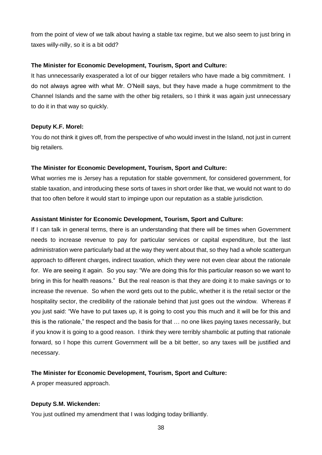from the point of view of we talk about having a stable tax regime, but we also seem to just bring in taxes willy-nilly, so it is a bit odd?

## **The Minister for Economic Development, Tourism, Sport and Culture:**

It has unnecessarily exasperated a lot of our bigger retailers who have made a big commitment. I do not always agree with what Mr. O'Neill says, but they have made a huge commitment to the Channel Islands and the same with the other big retailers, so I think it was again just unnecessary to do it in that way so quickly.

### **Deputy K.F. Morel:**

You do not think it gives off, from the perspective of who would invest in the Island, not just in current big retailers.

### **The Minister for Economic Development, Tourism, Sport and Culture:**

What worries me is Jersey has a reputation for stable government, for considered government, for stable taxation, and introducing these sorts of taxes in short order like that, we would not want to do that too often before it would start to impinge upon our reputation as a stable jurisdiction.

### **Assistant Minister for Economic Development, Tourism, Sport and Culture:**

If I can talk in general terms, there is an understanding that there will be times when Government needs to increase revenue to pay for particular services or capital expenditure, but the last administration were particularly bad at the way they went about that, so they had a whole scattergun approach to different charges, indirect taxation, which they were not even clear about the rationale for. We are seeing it again. So you say: "We are doing this for this particular reason so we want to bring in this for health reasons." But the real reason is that they are doing it to make savings or to increase the revenue. So when the word gets out to the public, whether it is the retail sector or the hospitality sector, the credibility of the rationale behind that just goes out the window. Whereas if you just said: "We have to put taxes up, it is going to cost you this much and it will be for this and this is the rationale," the respect and the basis for that … no one likes paying taxes necessarily, but if you know it is going to a good reason. I think they were terribly shambolic at putting that rationale forward, so I hope this current Government will be a bit better, so any taxes will be justified and necessary.

## **The Minister for Economic Development, Tourism, Sport and Culture:**

A proper measured approach.

## **Deputy S.M. Wickenden:**

You just outlined my amendment that I was lodging today brilliantly.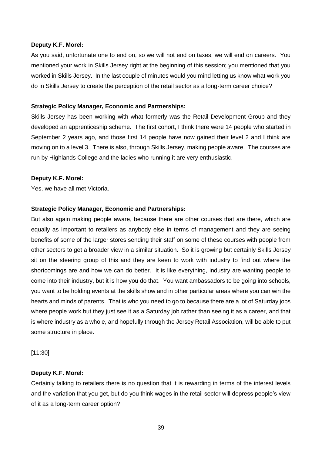#### **Deputy K.F. Morel:**

As you said, unfortunate one to end on, so we will not end on taxes, we will end on careers. You mentioned your work in Skills Jersey right at the beginning of this session; you mentioned that you worked in Skills Jersey. In the last couple of minutes would you mind letting us know what work you do in Skills Jersey to create the perception of the retail sector as a long-term career choice?

#### **Strategic Policy Manager, Economic and Partnerships:**

Skills Jersey has been working with what formerly was the Retail Development Group and they developed an apprenticeship scheme. The first cohort, I think there were 14 people who started in September 2 years ago, and those first 14 people have now gained their level 2 and I think are moving on to a level 3. There is also, through Skills Jersey, making people aware. The courses are run by Highlands College and the ladies who running it are very enthusiastic.

#### **Deputy K.F. Morel:**

Yes, we have all met Victoria.

#### **Strategic Policy Manager, Economic and Partnerships:**

But also again making people aware, because there are other courses that are there, which are equally as important to retailers as anybody else in terms of management and they are seeing benefits of some of the larger stores sending their staff on some of these courses with people from other sectors to get a broader view in a similar situation. So it is growing but certainly Skills Jersey sit on the steering group of this and they are keen to work with industry to find out where the shortcomings are and how we can do better. It is like everything, industry are wanting people to come into their industry, but it is how you do that. You want ambassadors to be going into schools, you want to be holding events at the skills show and in other particular areas where you can win the hearts and minds of parents. That is who you need to go to because there are a lot of Saturday jobs where people work but they just see it as a Saturday job rather than seeing it as a career, and that is where industry as a whole, and hopefully through the Jersey Retail Association, will be able to put some structure in place.

[11:30]

#### **Deputy K.F. Morel:**

Certainly talking to retailers there is no question that it is rewarding in terms of the interest levels and the variation that you get, but do you think wages in the retail sector will depress people's view of it as a long-term career option?